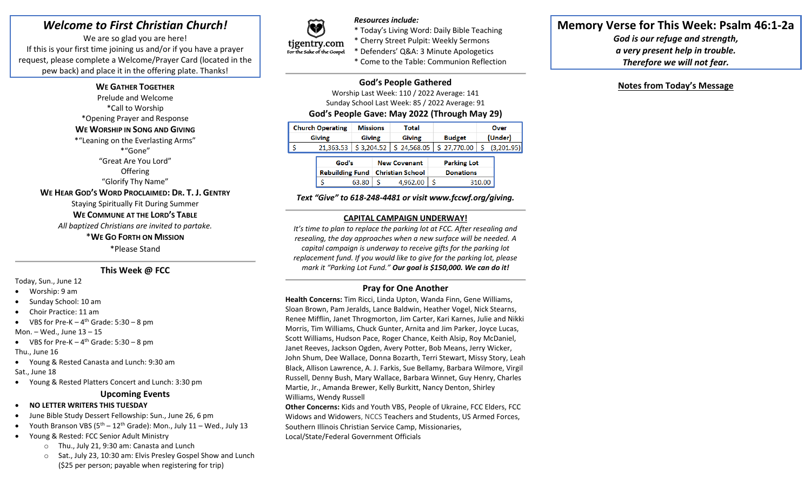# *Welcome to First Christian Church!*

We are so glad you are here! If this is your first time joining us and/or if you have a prayer request, please complete a Welcome/Prayer Card (located in the pew back) and place it in the offering plate. Thanks!

### **WE GATHER TOGETHER**

Prelude and Welcome \*Call to Worship \*Opening Prayer and Response **WE WORSHIP IN SONG AND GIVING** \*"Leaning on the Everlasting Arms" \*"Gone" "Great Are You Lord" **Offering** "Glorify Thy Name" **WE HEAR GOD'S WORD PROCLAIMED: DR. T. J. GENTRY** Staying Spiritually Fit During Summer **WE COMMUNE AT THE LORD'S TABLE** *All baptized Christians are invited to partake.*

### \***WE GO FORTH ON MISSION**

\*Please Stand

# **This Week @ FCC**

Today, Sun., June 12

- Worship: 9 am
- Sunday School: 10 am
- Choir Practice: 11 am

• VBS for Pre-K  $-4$ <sup>th</sup> Grade: 5:30  $-8$  pm

Mon. – Wed., June 13 – 15

• VBS for Pre-K  $-4$ <sup>th</sup> Grade: 5:30  $-8$  pm

Thu., June 16

- Young & Rested Canasta and Lunch: 9:30 am Sat., June 18
- Young & Rested Platters Concert and Lunch: 3:30 pm

#### **Upcoming Events**

- **NO LETTER WRITERS THIS TUESDAY**
- June Bible Study Dessert Fellowship: Sun., June 26, 6 pm
- Youth Branson VBS  $(5^{th} 12^{th}$  Grade): Mon., July 11 Wed., July 13
- Young & Rested: FCC Senior Adult Ministry
	- o Thu., July 21, 9:30 am: Canasta and Lunch
	- o Sat., July 23, 10:30 am: Elvis Presley Gospel Show and Lunch (\$25 per person; payable when registering for trip)



*Resources include:* \* Today's Living Word: Daily Bible Teaching \* Cherry Street Pulpit: Weekly Sermons \* Defenders' Q&A: 3 Minute Apologetics \* Come to the Table: Communion Reflection

# **God's People Gathered**

Worship Last Week: 110 / 2022 Average: 141 Sunday School Last Week: 85 / 2022 Average: 91

# **God's People Gave: May 2022 (Through May 29)**

| <b>Church Operating</b> |               | <b>Missions</b> | Total                                                             |               | Over    |  |
|-------------------------|---------------|-----------------|-------------------------------------------------------------------|---------------|---------|--|
|                         | <b>Giving</b> | <b>Giving</b>   | <b>Giving</b>                                                     | <b>Budget</b> | (Under) |  |
|                         |               |                 | 21,363.53   \$3,204.52   \$24,568.05   \$27,770.00   \$ (3,201.95 |               |         |  |

| God's |       | <b>New Covenant</b>                |          | <b>Parking Lot</b> |        |
|-------|-------|------------------------------------|----------|--------------------|--------|
|       |       | Rebuilding Fund   Christian School |          | <b>Donations</b>   |        |
|       | 63.80 |                                    | 4.962.00 |                    | 310.00 |

*Text "Give" to 618-248-4481 or visit www.fccwf.org/giving.*

#### **CAPITAL CAMPAIGN UNDERWAY!**

*It's time to plan to replace the parking lot at FCC. After resealing and resealing, the day approaches when a new surface will be needed. A capital campaign is underway to receive gifts for the parking lot replacement fund. If you would like to give for the parking lot, please mark it "Parking Lot Fund." Our goal is \$150,000. We can do it!*

#### **Pray for One Another**

**Health Concerns:** Tim Ricci, Linda Upton, Wanda Finn, Gene Williams, Sloan Brown, Pam Jeralds, Lance Baldwin, Heather Vogel, Nick Stearns, Renee Mifflin, Janet Throgmorton, Jim Carter, Kari Karnes, Julie and Nikki Morris, Tim Williams, Chuck Gunter, Arnita and Jim Parker, Joyce Lucas, Scott Williams, Hudson Pace, Roger Chance, Keith Alsip, Roy McDaniel, Janet Reeves, Jackson Ogden, Avery Potter, Bob Means, Jerry Wicker, John Shum, Dee Wallace, Donna Bozarth, Terri Stewart, Missy Story, Leah Black, Allison Lawrence, A. J. Farkis, Sue Bellamy, Barbara Wilmore, Virgil Russell, Denny Bush, Mary Wallace, Barbara Winnet, Guy Henry, Charles Martie, Jr., Amanda Brewer, Kelly Burkitt, Nancy Denton, Shirley Williams, Wendy Russell

**Other Concerns:** Kids and Youth VBS, People of Ukraine, FCC Elders, FCC Widows and Widowers, NCCS Teachers and Students, US Armed Forces, Southern Illinois Christian Service Camp, Missionaries, Local/State/Federal Government Officials

# **Memory Verse for This Week: Psalm 46:1-2a**

*God is our refuge and strength, a very present help in trouble. Therefore we will not fear.*

# **Notes from Today's Message**